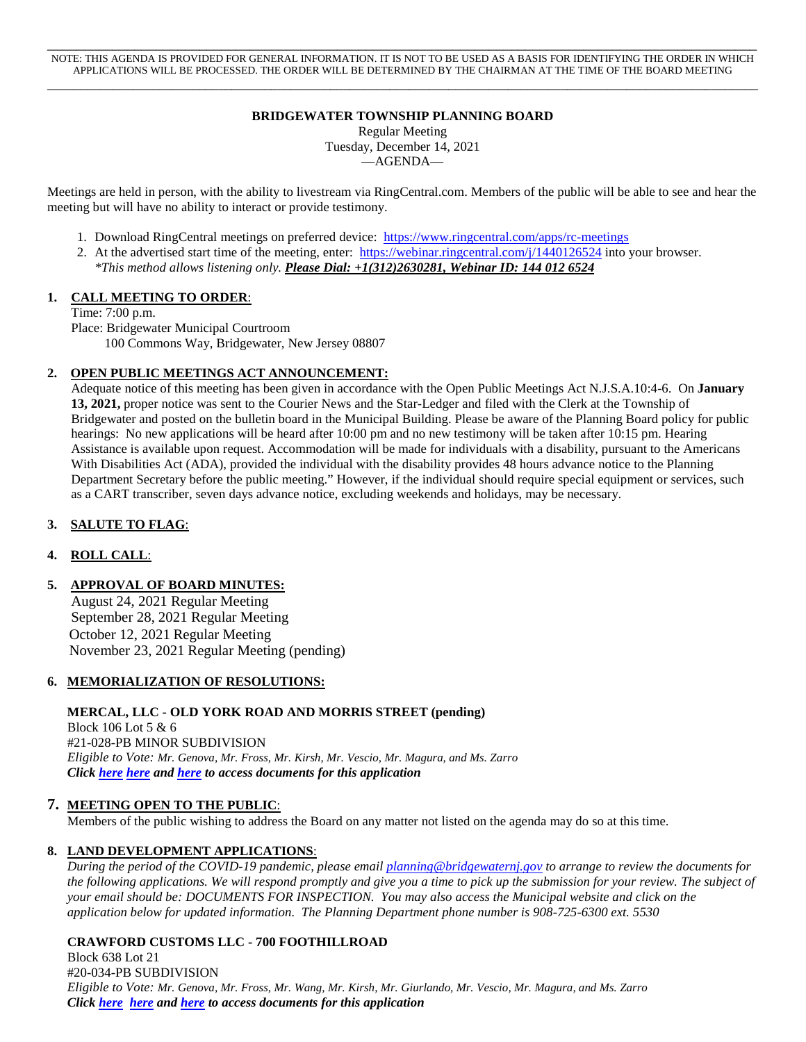\_\_\_\_\_\_\_\_\_\_\_\_\_\_\_\_\_\_\_\_\_\_\_\_\_\_\_\_\_\_\_\_\_\_\_\_\_\_\_\_\_\_\_\_\_\_\_\_\_\_\_\_\_\_\_\_\_\_\_\_\_\_\_\_\_\_\_\_\_\_\_\_\_\_\_\_\_\_\_\_\_\_\_\_\_\_\_\_\_\_\_\_\_\_\_\_\_\_ NOTE: THIS AGENDA IS PROVIDED FOR GENERAL INFORMATION. IT IS NOT TO BE USED AS A BASIS FOR IDENTIFYING THE ORDER IN WHICH APPLICATIONS WILL BE PROCESSED. THE ORDER WILL BE DETERMINED BY THE CHAIRMAN AT THE TIME OF THE BOARD MEETING \_\_\_\_\_\_\_\_\_\_\_\_\_\_\_\_\_\_\_\_\_\_\_\_\_\_\_\_\_\_\_\_\_\_\_\_\_\_\_\_\_\_\_\_\_\_\_\_\_\_\_\_\_\_\_\_\_\_\_\_\_\_\_\_\_\_\_\_\_\_\_\_\_\_\_\_\_\_\_\_\_\_\_\_\_\_\_\_\_\_\_\_\_\_\_\_\_\_\_\_\_\_\_\_\_\_\_\_

# **BRIDGEWATER TOWNSHIP PLANNING BOARD**

Regular Meeting Tuesday, December 14, 2021

—AGENDA—

Meetings are held in person, with the ability to livestream via RingCentral.com. Members of the public will be able to see and hear the meeting but will have no ability to interact or provide testimony.

- 1. Download RingCentral meetings on preferred device: <https://www.ringcentral.com/apps/rc-meetings>
- 2. At the advertised start time of the meeting, enter: <https://webinar.ringcentral.com/j/1440126524> into your browser. *\*This method allows listening only. Please Dial: +1(312)2630281, Webinar ID: 144 012 6524*

#### **1. CALL MEETING TO ORDER**:

Time: 7:00 p.m.

Place: Bridgewater Municipal Courtroom 100 Commons Way, Bridgewater, New Jersey 08807

#### **2. OPEN PUBLIC MEETINGS ACT ANNOUNCEMENT:**

Adequate notice of this meeting has been given in accordance with the Open Public Meetings Act N.J.S.A.10:4-6. On **January 13, 2021,** proper notice was sent to the Courier News and the Star-Ledger and filed with the Clerk at the Township of Bridgewater and posted on the bulletin board in the Municipal Building. Please be aware of the Planning Board policy for public hearings: No new applications will be heard after 10:00 pm and no new testimony will be taken after 10:15 pm. Hearing Assistance is available upon request. Accommodation will be made for individuals with a disability, pursuant to the Americans With Disabilities Act (ADA), provided the individual with the disability provides 48 hours advance notice to the Planning Department Secretary before the public meeting." However, if the individual should require special equipment or services, such as a CART transcriber, seven days advance notice, excluding weekends and holidays, may be necessary.

#### **3. SALUTE TO FLAG**:

#### **4. ROLL CALL**:

**5. APPROVAL OF BOARD MINUTES:** 

August 24, 2021 Regular Meeting September 28, 2021 Regular Meeting October 12, 2021 Regular Meeting November 23, 2021 Regular Meeting (pending)

#### **6. MEMORIALIZATION OF RESOLUTIONS:**

#### **MERCAL, LLC - OLD YORK ROAD AND MORRIS STREET (pending)**

 Block 106 Lot 5 & 6 #21-028-PB MINOR SUBDIVISION  *Eligible to Vote: Mr. Genova, Mr. Fross, Mr. Kirsh, Mr. Vescio, Mr. Magura, and Ms. Zarro Click [here](https://www.bridgewaternj.gov/wp-content/uploads/2021/11/Combine_M.pdf) [here](https://www.bridgewaternj.gov/wp-content/uploads/2021/11/Combine_mercal.pdf) and [here](https://www.bridgewaternj.gov/wp-content/uploads/2021/11/9-MERCAL-LLC-EXHIBIT-Major-Subdivision-Plat-Color-rendered-sheet-1-10-28-21.pdf) to access documents for this application* 

#### **7. MEETING OPEN TO THE PUBLIC**:

Members of the public wishing to address the Board on any matter not listed on the agenda may do so at this time.

#### **8. LAND DEVELOPMENT APPLICATIONS**:

*During the period of the COVID-19 pandemic, please email [planning@bridgewaternj.gov](mailto:planning@bridgewaternj.gov) to arrange to review the documents for the following applications. We will respond promptly and give you a time to pick up the submission for your review. The subject of your email should be: DOCUMENTS FOR INSPECTION. You may also access the Municipal website and click on the application below for updated information. The Planning Department phone number is 908-725-6300 ext. 5530* 

#### **CRAWFORD CUSTOMS LLC - 700 FOOTHILLROAD**

 Block 638 Lot 21 #20-034-PB SUBDIVISION  *Eligible to Vote: Mr. Genova, Mr. Fross, Mr. Wang, Mr. Kirsh, Mr. Giurlando, Mr. Vescio, Mr. Magura, and Ms. Zarro Click [here](https://www.bridgewaternj.gov/wp-content/uploads/2021/06/22W_Combine.pdf) [here](https://www.bridgewaternj.gov/wp-content/uploads/2021/10/Ltr-to-Bridgewater-10.1.21-.pdf) and [here](https://www.bridgewaternj.gov/wp-content/uploads/2021/12/Combine_crawford.pdf) to access documents for this application*